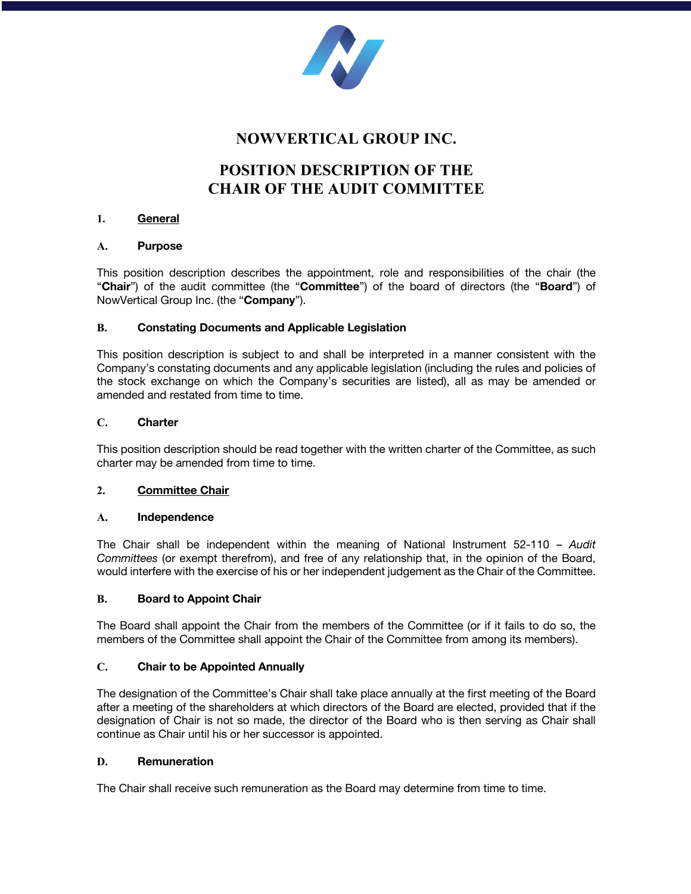

# **NOWVERTICAL GROUP INC.**

# **POSITION DESCRIPTION OF THE CHAIR OF THE AUDIT COMMITTEE**

## **1. General**

## **A. Purpose**

This position description describes the appointment, role and responsibilities of the chair (the "**Chair**") of the audit committee (the "**Committee**") of the board of directors (the "**Board**") of NowVertical Group Inc. (the "**Company**").

## **B. Constating Documents and Applicable Legislation**

This position description is subject to and shall be interpreted in a manner consistent with the Company's constating documents and any applicable legislation (including the rules and policies of the stock exchange on which the Company's securities are listed), all as may be amended or amended and restated from time to time.

## **C. Charter**

This position description should be read together with the written charter of the Committee, as such charter may be amended from time to time.

# **2. Committee Chair**

#### **A. Independence**

The Chair shall be independent within the meaning of National Instrument 52-110 – *Audit Committees* (or exempt therefrom), and free of any relationship that, in the opinion of the Board, would interfere with the exercise of his or her independent judgement as the Chair of the Committee.

# **B. Board to Appoint Chair**

The Board shall appoint the Chair from the members of the Committee (or if it fails to do so, the members of the Committee shall appoint the Chair of the Committee from among its members).

# **C. Chair to be Appointed Annually**

The designation of the Committee's Chair shall take place annually at the first meeting of the Board after a meeting of the shareholders at which directors of the Board are elected, provided that if the designation of Chair is not so made, the director of the Board who is then serving as Chair shall continue as Chair until his or her successor is appointed.

#### **D. Remuneration**

The Chair shall receive such remuneration as the Board may determine from time to time.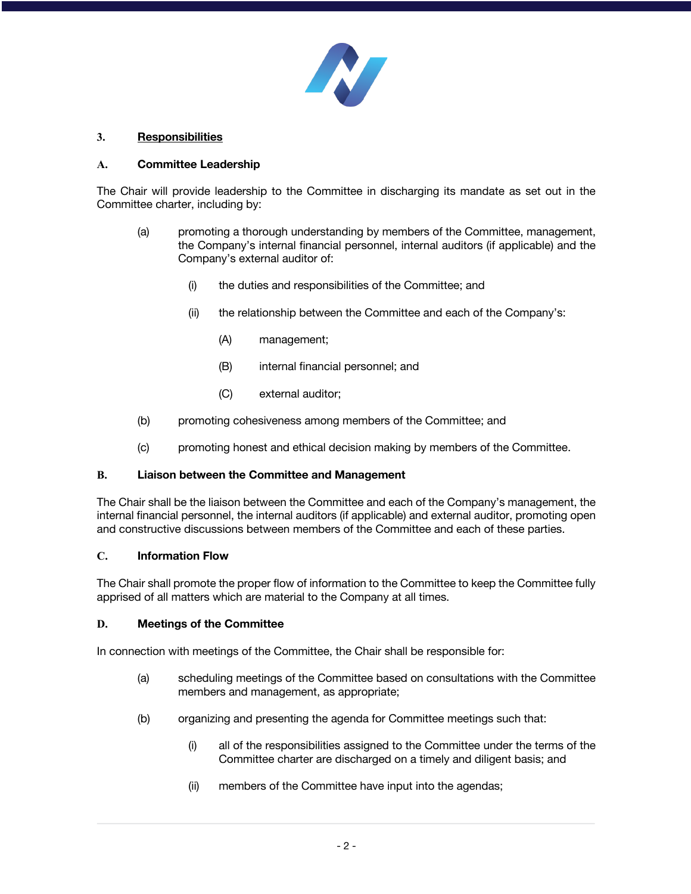

# **3. Responsibilities**

# **A. Committee Leadership**

The Chair will provide leadership to the Committee in discharging its mandate as set out in the Committee charter, including by:

- (a) promoting a thorough understanding by members of the Committee, management, the Company's internal financial personnel, internal auditors (if applicable) and the Company's external auditor of:
	- (i) the duties and responsibilities of the Committee; and
	- (ii) the relationship between the Committee and each of the Company's:
		- (A) management;
		- (B) internal financial personnel; and
		- (C) external auditor;
- (b) promoting cohesiveness among members of the Committee; and
- (c) promoting honest and ethical decision making by members of the Committee.

# **B. Liaison between the Committee and Management**

The Chair shall be the liaison between the Committee and each of the Company's management, the internal financial personnel, the internal auditors (if applicable) and external auditor, promoting open and constructive discussions between members of the Committee and each of these parties.

# **C. Information Flow**

The Chair shall promote the proper flow of information to the Committee to keep the Committee fully apprised of all matters which are material to the Company at all times.

# **D. Meetings of the Committee**

In connection with meetings of the Committee, the Chair shall be responsible for:

- (a) scheduling meetings of the Committee based on consultations with the Committee members and management, as appropriate;
- (b) organizing and presenting the agenda for Committee meetings such that:
	- (i) all of the responsibilities assigned to the Committee under the terms of the Committee charter are discharged on a timely and diligent basis; and
	- (ii) members of the Committee have input into the agendas;